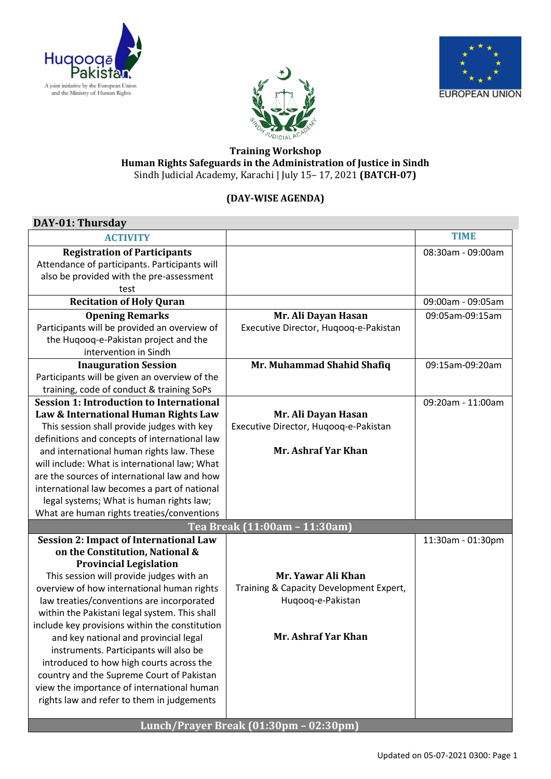





## **Training Workshop Human Rights Safeguards in the Administration of Justice in Sindh** Sindh Judicial Academy, Karachi | July 15– 17, 2021 **(BATCH-07)**

## **(DAY-WISE AGENDA)**

| DAY-01: Thursday                                |                                         |                   |
|-------------------------------------------------|-----------------------------------------|-------------------|
| <b>ACTIVITY</b>                                 |                                         | <b>TIME</b>       |
| <b>Registration of Participants</b>             |                                         | 08:30am - 09:00am |
| Attendance of participants. Participants will   |                                         |                   |
| also be provided with the pre-assessment        |                                         |                   |
| test                                            |                                         |                   |
| <b>Recitation of Holy Quran</b>                 |                                         | 09:00am - 09:05am |
| <b>Opening Remarks</b>                          | Mr. Ali Dayan Hasan                     | 09:05am-09:15am   |
| Participants will be provided an overview of    | Executive Director, Huqooq-e-Pakistan   |                   |
| the Huqooq-e-Pakistan project and the           |                                         |                   |
| intervention in Sindh                           |                                         |                   |
| <b>Inauguration Session</b>                     | Mr. Muhammad Shahid Shafiq              | 09:15am-09:20am   |
| Participants will be given an overview of the   |                                         |                   |
| training, code of conduct & training SoPs       |                                         |                   |
| <b>Session 1: Introduction to International</b> |                                         | 09:20am - 11:00am |
| Law & International Human Rights Law            | Mr. Ali Dayan Hasan                     |                   |
| This session shall provide judges with key      | Executive Director, Huqooq-e-Pakistan   |                   |
| definitions and concepts of international law   |                                         |                   |
| and international human rights law. These       | Mr. Ashraf Yar Khan                     |                   |
| will include: What is international law; What   |                                         |                   |
| are the sources of international law and how    |                                         |                   |
| international law becomes a part of national    |                                         |                   |
| legal systems; What is human rights law;        |                                         |                   |
| What are human rights treaties/conventions      |                                         |                   |
|                                                 | Tea Break (11:00am - 11:30am)           |                   |
| <b>Session 2: Impact of International Law</b>   |                                         | 11:30am - 01:30pm |
| on the Constitution, National &                 |                                         |                   |
| <b>Provincial Legislation</b>                   |                                         |                   |
| This session will provide judges with an        | Mr. Yawar Ali Khan                      |                   |
| overview of how international human rights      | Training & Capacity Development Expert, |                   |
| law treaties/conventions are incorporated       | Huqooq-e-Pakistan                       |                   |
| within the Pakistani legal system. This shall   |                                         |                   |
| include key provisions within the constitution  |                                         |                   |
| and key national and provincial legal           | Mr. Ashraf Yar Khan                     |                   |
| instruments. Participants will also be          |                                         |                   |
| introduced to how high courts across the        |                                         |                   |
| country and the Supreme Court of Pakistan       |                                         |                   |
| view the importance of international human      |                                         |                   |
| rights law and refer to them in judgements      |                                         |                   |
|                                                 |                                         |                   |
|                                                 | Lunch/Prayer Break (01:30pm - 02:30pm)  |                   |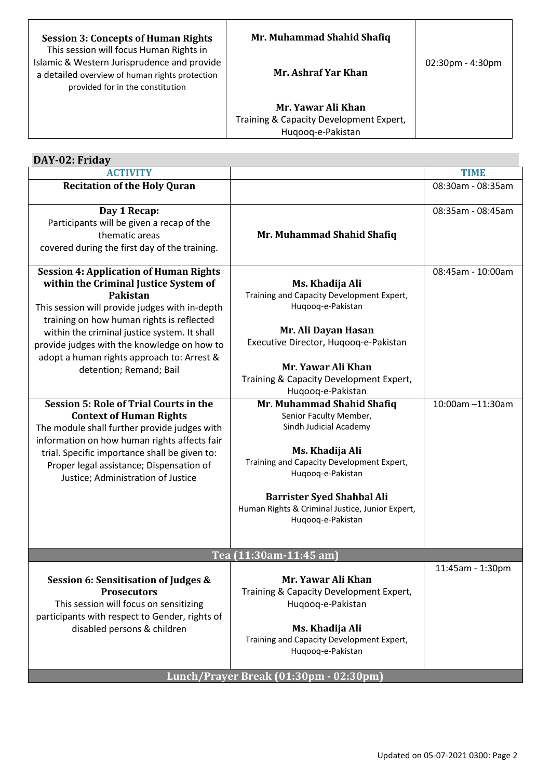| <b>Session 3: Concepts of Human Rights</b><br>This session will focus Human Rights in                                             | Mr. Muhammad Shahid Shafiq                                                         |                                    |
|-----------------------------------------------------------------------------------------------------------------------------------|------------------------------------------------------------------------------------|------------------------------------|
| Islamic & Western Jurisprudence and provide<br>a detailed overview of human rights protection<br>provided for in the constitution | Mr. Ashraf Yar Khan                                                                | $02:30 \text{pm} - 4:30 \text{pm}$ |
|                                                                                                                                   | Mr. Yawar Ali Khan<br>Training & Capacity Development Expert,<br>Hugoog-e-Pakistan |                                    |

| DAY-02: Friday                                                                                                                                                                                                                                                                                                                                                                                                                                                                                                                                                                                                                                                                                  |                                                                                                                                                                                                                                                                                                                                                                                                                                                                                                                             |                                       |
|-------------------------------------------------------------------------------------------------------------------------------------------------------------------------------------------------------------------------------------------------------------------------------------------------------------------------------------------------------------------------------------------------------------------------------------------------------------------------------------------------------------------------------------------------------------------------------------------------------------------------------------------------------------------------------------------------|-----------------------------------------------------------------------------------------------------------------------------------------------------------------------------------------------------------------------------------------------------------------------------------------------------------------------------------------------------------------------------------------------------------------------------------------------------------------------------------------------------------------------------|---------------------------------------|
| <b>ACTIVITY</b>                                                                                                                                                                                                                                                                                                                                                                                                                                                                                                                                                                                                                                                                                 |                                                                                                                                                                                                                                                                                                                                                                                                                                                                                                                             | <b>TIME</b>                           |
| <b>Recitation of the Holy Quran</b>                                                                                                                                                                                                                                                                                                                                                                                                                                                                                                                                                                                                                                                             |                                                                                                                                                                                                                                                                                                                                                                                                                                                                                                                             | 08:30am - 08:35am                     |
| Day 1 Recap:<br>Participants will be given a recap of the<br>thematic areas<br>covered during the first day of the training.                                                                                                                                                                                                                                                                                                                                                                                                                                                                                                                                                                    | Mr. Muhammad Shahid Shafiq                                                                                                                                                                                                                                                                                                                                                                                                                                                                                                  | 08:35am - 08:45am                     |
| <b>Session 4: Application of Human Rights</b><br>within the Criminal Justice System of<br>Pakistan<br>This session will provide judges with in-depth<br>training on how human rights is reflected<br>within the criminal justice system. It shall<br>provide judges with the knowledge on how to<br>adopt a human rights approach to: Arrest &<br>detention; Remand; Bail<br><b>Session 5: Role of Trial Courts in the</b><br><b>Context of Human Rights</b><br>The module shall further provide judges with<br>information on how human rights affects fair<br>trial. Specific importance shall be given to:<br>Proper legal assistance; Dispensation of<br>Justice; Administration of Justice | Ms. Khadija Ali<br>Training and Capacity Development Expert,<br>Huqooq-e-Pakistan<br>Mr. Ali Dayan Hasan<br>Executive Director, Huqooq-e-Pakistan<br>Mr. Yawar Ali Khan<br>Training & Capacity Development Expert,<br>Huqooq-e-Pakistan<br>Mr. Muhammad Shahid Shafiq<br>Senior Faculty Member,<br>Sindh Judicial Academy<br>Ms. Khadija Ali<br>Training and Capacity Development Expert,<br>Huqooq-e-Pakistan<br><b>Barrister Syed Shahbal Ali</b><br>Human Rights & Criminal Justice, Junior Expert,<br>Huqooq-e-Pakistan | 08:45am - 10:00am<br>10:00am -11:30am |
| Tea (11:30am-11:45 am)                                                                                                                                                                                                                                                                                                                                                                                                                                                                                                                                                                                                                                                                          |                                                                                                                                                                                                                                                                                                                                                                                                                                                                                                                             |                                       |
| Session 6: Sensitisation of Judges &<br><b>Prosecutors</b><br>This session will focus on sensitizing<br>participants with respect to Gender, rights of<br>disabled persons & children                                                                                                                                                                                                                                                                                                                                                                                                                                                                                                           | Mr. Yawar Ali Khan<br>Training & Capacity Development Expert,<br>Huqooq-e-Pakistan<br>Ms. Khadija Ali<br>Training and Capacity Development Expert,<br>Huqooq-e-Pakistan                                                                                                                                                                                                                                                                                                                                                     | 11:45am - 1:30pm                      |
| Lunch/Prayer Break (01:30pm - 02:30pm)                                                                                                                                                                                                                                                                                                                                                                                                                                                                                                                                                                                                                                                          |                                                                                                                                                                                                                                                                                                                                                                                                                                                                                                                             |                                       |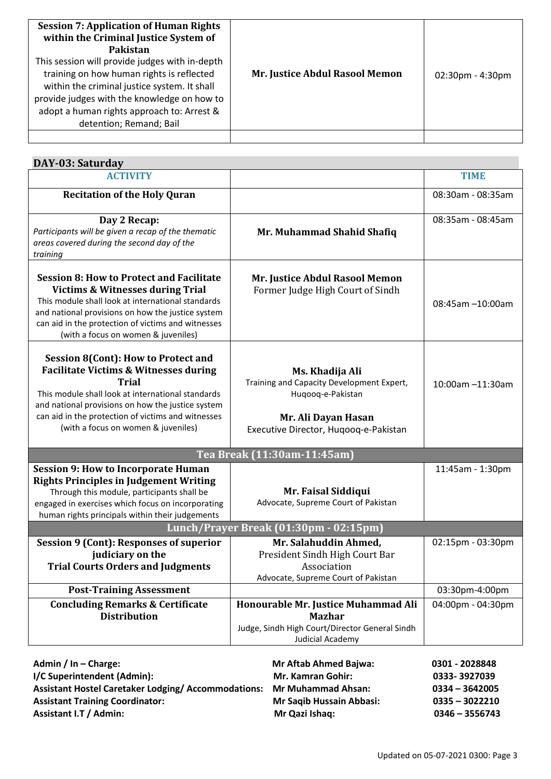| <b>Session 7: Application of Human Rights</b><br>within the Criminal Justice System of<br>Pakistan<br>This session will provide judges with in-depth<br>training on how human rights is reflected<br>within the criminal justice system. It shall<br>provide judges with the knowledge on how to<br>adopt a human rights approach to: Arrest &<br>detention; Remand; Bail | Mr. Justice Abdul Rasool Memon | $02:30pm - 4:30pm$ |
|---------------------------------------------------------------------------------------------------------------------------------------------------------------------------------------------------------------------------------------------------------------------------------------------------------------------------------------------------------------------------|--------------------------------|--------------------|
|                                                                                                                                                                                                                                                                                                                                                                           |                                |                    |

| DAY-03: Saturday                                                                                                                                                                                                                                                                                                      |                                                                                                                                                   |                   |
|-----------------------------------------------------------------------------------------------------------------------------------------------------------------------------------------------------------------------------------------------------------------------------------------------------------------------|---------------------------------------------------------------------------------------------------------------------------------------------------|-------------------|
| <b>ACTIVITY</b>                                                                                                                                                                                                                                                                                                       |                                                                                                                                                   | <b>TIME</b>       |
| <b>Recitation of the Holy Quran</b>                                                                                                                                                                                                                                                                                   |                                                                                                                                                   | 08:30am - 08:35am |
| Day 2 Recap:<br>Participants will be given a recap of the thematic<br>areas covered during the second day of the<br>training                                                                                                                                                                                          | Mr. Muhammad Shahid Shafiq                                                                                                                        | 08:35am - 08:45am |
| <b>Session 8: How to Protect and Facilitate</b><br><b>Victims &amp; Witnesses during Trial</b><br>This module shall look at international standards<br>and national provisions on how the justice system<br>can aid in the protection of victims and witnesses<br>(with a focus on women & juveniles)                 | Mr. Justice Abdul Rasool Memon<br>Former Judge High Court of Sindh                                                                                | 08:45am -10:00am  |
| <b>Session 8(Cont): How to Protect and</b><br><b>Facilitate Victims &amp; Witnesses during</b><br><b>Trial</b><br>This module shall look at international standards<br>and national provisions on how the justice system<br>can aid in the protection of victims and witnesses<br>(with a focus on women & juveniles) | Ms. Khadija Ali<br>Training and Capacity Development Expert,<br>Huqooq-e-Pakistan<br>Mr. Ali Dayan Hasan<br>Executive Director, Hugoog-e-Pakistan | 10:00am -11:30am  |
|                                                                                                                                                                                                                                                                                                                       | Tea Break (11:30am-11:45am)                                                                                                                       |                   |
| <b>Session 9: How to Incorporate Human</b><br><b>Rights Principles in Judgement Writing</b><br>Through this module, participants shall be<br>engaged in exercises which focus on incorporating<br>human rights principals within their judgements                                                                     | Mr. Faisal Siddiqui<br>Advocate, Supreme Court of Pakistan                                                                                        | 11:45am - 1:30pm  |
| Lunch/Prayer Break (01:30pm - 02:15pm)                                                                                                                                                                                                                                                                                |                                                                                                                                                   |                   |
| <b>Session 9 (Cont): Responses of superior</b><br>judiciary on the<br><b>Trial Courts Orders and Judgments</b>                                                                                                                                                                                                        | Mr. Salahuddin Ahmed,<br>President Sindh High Court Bar<br>Association<br>Advocate, Supreme Court of Pakistan                                     | 02:15pm - 03:30pm |
| <b>Post-Training Assessment</b>                                                                                                                                                                                                                                                                                       |                                                                                                                                                   | 03:30pm-4:00pm    |
| <b>Concluding Remarks &amp; Certificate</b><br><b>Distribution</b>                                                                                                                                                                                                                                                    | Honourable Mr. Justice Muhammad Ali<br><b>Mazhar</b><br>Judge, Sindh High Court/Director General Sindh<br>Judicial Academy                        | 04:00pm - 04:30pm |

| Admin / In - Charge:                                                   | <b>Mr Aftab Ahmed Bajwa:</b>    | 0301 - 2028848   |
|------------------------------------------------------------------------|---------------------------------|------------------|
| I/C Superintendent (Admin):                                            | <b>Mr. Kamran Gohir:</b>        | 0333-3927039     |
| Assistant Hostel Caretaker Lodging/ Accommodations: Mr Muhammad Ahsan: |                                 | $0334 - 3642005$ |
| <b>Assistant Training Coordinator:</b>                                 | <b>Mr Saqib Hussain Abbasi:</b> | $0335 - 3022210$ |
| <b>Assistant I.T / Admin:</b>                                          | Mr Qazi Ishaq:                  | $0346 - 3556743$ |